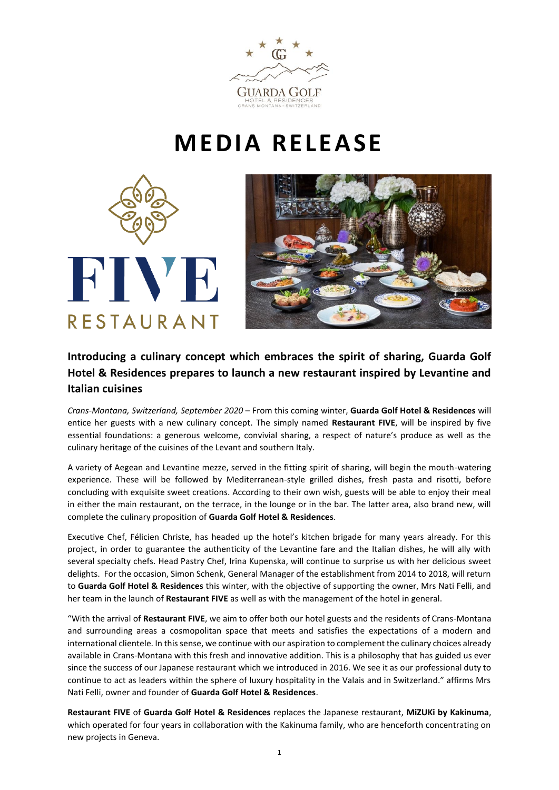

## **MEDIA RELEASE**





## **Introducing a culinary concept which embraces the spirit of sharing, Guarda Golf Hotel & Residences prepares to launch a new restaurant inspired by Levantine and Italian cuisines**

*Crans-Montana, Switzerland, September 2020* – From this coming winter, **Guarda Golf Hotel & Residences** will entice her guests with a new culinary concept. The simply named **Restaurant FIVE**, will be inspired by five essential foundations: a generous welcome, convivial sharing, a respect of nature's produce as well as the culinary heritage of the cuisines of the Levant and southern Italy.

A variety of Aegean and Levantine mezze, served in the fitting spirit of sharing, will begin the mouth-watering experience. These will be followed by Mediterranean-style grilled dishes, fresh pasta and risotti, before concluding with exquisite sweet creations. According to their own wish, guests will be able to enjoy their meal in either the main restaurant, on the terrace, in the lounge or in the bar. The latter area, also brand new, will complete the culinary proposition of **Guarda Golf Hotel & Residences**.

Executive Chef, Félicien Christe, has headed up the hotel's kitchen brigade for many years already. For this project, in order to guarantee the authenticity of the Levantine fare and the Italian dishes, he will ally with several specialty chefs. Head Pastry Chef, Irina Kupenska, will continue to surprise us with her delicious sweet delights. For the occasion, Simon Schenk, General Manager of the establishment from 2014 to 2018, will return to **Guarda Golf Hotel & Residences** this winter, with the objective of supporting the owner, Mrs Nati Felli, and her team in the launch of **Restaurant FIVE** as well as with the management of the hotel in general.

"With the arrival of **Restaurant FIVE**, we aim to offer both our hotel guests and the residents of Crans-Montana and surrounding areas a cosmopolitan space that meets and satisfies the expectations of a modern and international clientele. In this sense, we continue with our aspiration to complement the culinary choices already available in Crans-Montana with this fresh and innovative addition. This is a philosophy that has guided us ever since the success of our Japanese restaurant which we introduced in 2016. We see it as our professional duty to continue to act as leaders within the sphere of luxury hospitality in the Valais and in Switzerland." affirms Mrs Nati Felli, owner and founder of **Guarda Golf Hotel & Residences**.

**Restaurant FIVE** of **Guarda Golf Hotel & Residences** replaces the Japanese restaurant, **MiZUKi by Kakinuma**, which operated for four years in collaboration with the Kakinuma family, who are henceforth concentrating on new projects in Geneva.